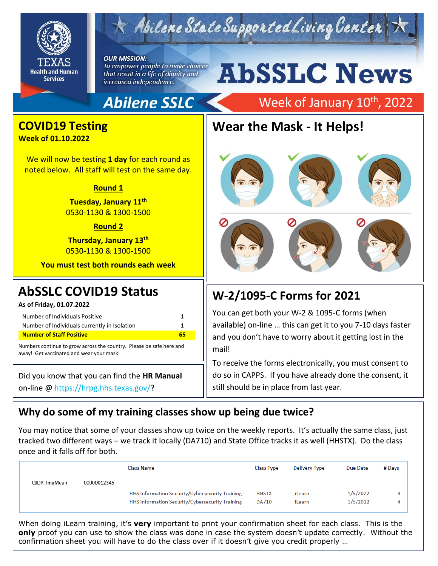

# $\tau$  Abilene State Supported Living Center

#### **OUR MISSION:** To empower people to make choices that result in a life of dignity and increased independence.

# **AbSSLC News**

Week of January 10<sup>th</sup>, 2022

### **Abilene SSLC**

# **Wear the Mask - It Helps!**





#### **W-2/1095-C Forms for 2021**

You can get both your W-2 & 1095-C forms (when available) on-line … this can get it to you 7-10 days faster and you don't have to worry about it getting lost in the mail!

To receive the forms electronically, you must consent to do so in CAPPS. If you have already done the consent, it still should be in place from last year.

#### **Why do some of my training classes show up being due twice?**

You may notice that some of your classes show up twice on the weekly reports. It's actually the same class, just tracked two different ways – we track it locally (DA710) and State Office tracks it as well (HHSTX). Do the class once and it falls off for both.

|               |             | <b>Class Name</b>                               | <b>Class Type</b> | <b>Delivery Type</b> | Due Date | # Days |
|---------------|-------------|-------------------------------------------------|-------------------|----------------------|----------|--------|
| QIDP, ImaMean | 00000012345 |                                                 |                   |                      |          |        |
|               |             | HHS Information Security/Cybersecurity Training | <b>HHSTX</b>      | iLearn               | 1/5/2022 | 4      |
|               |             | HHS Information Security/Cybersecurity Training | <b>DA710</b>      | iLearn               | 1/5/2022 | 4      |
|               |             |                                                 |                   |                      |          |        |

When doing iLearn training, it's **very** important to print your confirmation sheet for each class. This is the **only** proof you can use to show the class was done in case the system doesn't update correctly. Without the confirmation sheet you will have to do the class over if it doesn't give you credit properly …

#### **COVID19 Testing**

**Week of 01.10.2022**

We will now be testing **1 day** for each round as noted below. All staff will test on the same day.

#### **Round 1**

**Tuesday, January 11th** 0530-1130 & 1300-1500

#### **Round 2**

**Thursday, January 13th** 0530-1130 & 1300-1500

**You must test both rounds each week**

#### **AbSSLC COVID19 Status**

**As of Friday, 01.07.2022**

| Number of Individuals Positive<br>Number of Individuals currently in Isolation                                   | 1  |  |  |  |  |
|------------------------------------------------------------------------------------------------------------------|----|--|--|--|--|
| <b>Number of Staff Positive</b>                                                                                  | 65 |  |  |  |  |
| Numbers continue to grow across the country. Please be safe here and<br>away! Get vaccinated and wear your mask! |    |  |  |  |  |

Did you know that you can find the **HR Manual** on-line @ [https://hrpg.hhs.texas.gov/?](https://hrpg.hhs.texas.gov/)